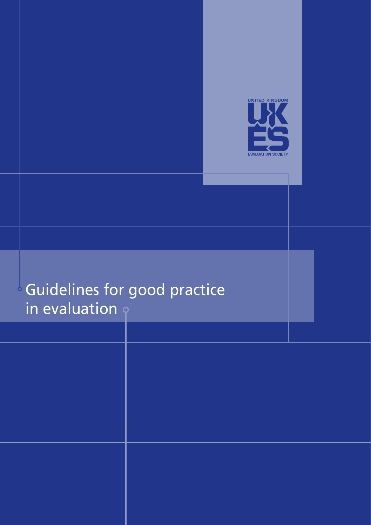

# Guidelines for good practice in evaluation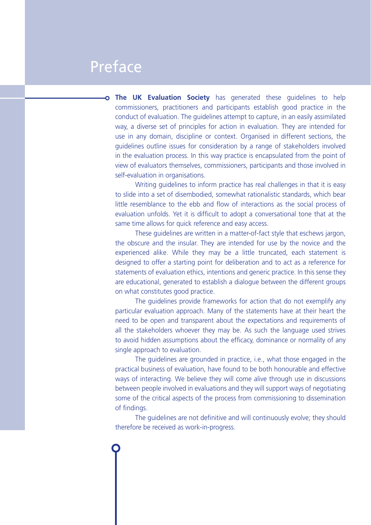#### Preface

**The UK Evaluation Society** has generated these guidelines to help commissioners, practitioners and participants establish good practice in the conduct of evaluation. The guidelines attempt to capture, in an easily assimilated way, a diverse set of principles for action in evaluation. They are intended for use in any domain, discipline or context. Organised in different sections, the guidelines outline issues for consideration by a range of stakeholders involved in the evaluation process. In this way practice is encapsulated from the point of view of evaluators themselves, commissioners, participants and those involved in self-evaluation in organisations.

Writing guidelines to inform practice has real challenges in that it is easy to slide into a set of disembodied, somewhat rationalistic standards, which bear little resemblance to the ebb and flow of interactions as the social process of evaluation unfolds. Yet it is difficult to adopt a conversational tone that at the same time allows for quick reference and easy access.

These guidelines are written in a matter-of-fact style that eschews jargon, the obscure and the insular. They are intended for use by the novice and the experienced alike. While they may be a little truncated, each statement is designed to offer a starting point for deliberation and to act as a reference for statements of evaluation ethics, intentions and generic practice. In this sense they are educational, generated to establish a dialogue between the different groups on what constitutes good practice.

The guidelines provide frameworks for action that do not exemplify any particular evaluation approach. Many of the statements have at their heart the need to be open and transparent about the expectations and requirements of all the stakeholders whoever they may be. As such the language used strives to avoid hidden assumptions about the efficacy, dominance or normality of any single approach to evaluation.

The guidelines are grounded in practice, i.e., what those engaged in the practical business of evaluation, have found to be both honourable and effective ways of interacting. We believe they will come alive through use in discussions between people involved in evaluations and they will support ways of negotiating some of the critical aspects of the process from commissioning to dissemination of findings.

The guidelines are not definitive and will continuously evolve; they should therefore be received as work-in-progress.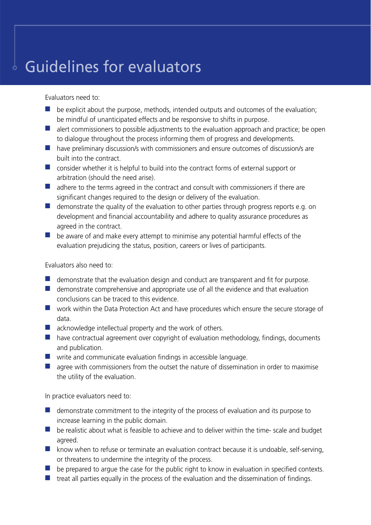### Guidelines for evaluators

Evaluators need to:

- $\blacksquare$  be explicit about the purpose, methods, intended outputs and outcomes of the evaluation; be mindful of unanticipated effects and be responsive to shifts in purpose.
- $\blacksquare$  alert commissioners to possible adjustments to the evaluation approach and practice; be open to dialogue throughout the process informing them of progress and developments.
- $\Box$  have preliminary discussion/s with commissioners and ensure outcomes of discussion/s are built into the contract.
- $\blacksquare$  consider whether it is helpful to build into the contract forms of external support or arbitration (should the need arise).
- $\blacksquare$  adhere to the terms agreed in the contract and consult with commissioners if there are significant changes required to the design or delivery of the evaluation.
- $\blacksquare$  demonstrate the quality of the evaluation to other parties through progress reports e.g. on development and financial accountability and adhere to quality assurance procedures as agreed in the contract.
- $\blacksquare$  be aware of and make every attempt to minimise any potential harmful effects of the evaluation prejudicing the status, position, careers or lives of participants.

Evaluators also need to:

- $\blacksquare$  demonstrate that the evaluation design and conduct are transparent and fit for purpose.
- $\blacksquare$  demonstrate comprehensive and appropriate use of all the evidence and that evaluation conclusions can be traced to this evidence.
- $\blacksquare$  work within the Data Protection Act and have procedures which ensure the secure storage of data.
- $\blacksquare$  acknowledge intellectual property and the work of others.
- $\blacksquare$  have contractual agreement over copyright of evaluation methodology, findings, documents and publication.
- $\blacksquare$  write and communicate evaluation findings in accessible language.
- $\blacksquare$  agree with commissioners from the outset the nature of dissemination in order to maximise the utility of the evaluation.

In practice evaluators need to:

- $\Box$  demonstrate commitment to the integrity of the process of evaluation and its purpose to increase learning in the public domain.
- $\blacksquare$  be realistic about what is feasible to achieve and to deliver within the time- scale and budget agreed.
- $\blacksquare$  know when to refuse or terminate an evaluation contract because it is undoable, self-serving, or threatens to undermine the integrity of the process.
- $\blacksquare$  be prepared to argue the case for the public right to know in evaluation in specified contexts.
- $\blacksquare$  treat all parties equally in the process of the evaluation and the dissemination of findings.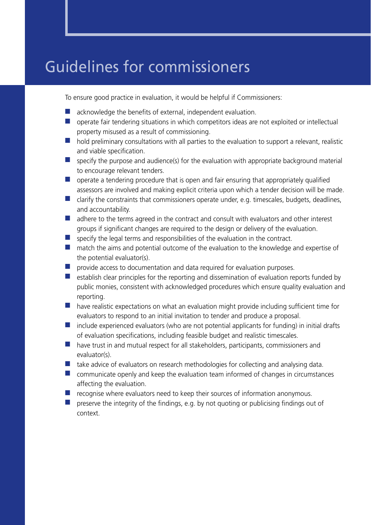### Guidelines for commissioners

To ensure good practice in evaluation, it would be helpful if Commissioners:

- $\blacksquare$  acknowledge the benefits of external, independent evaluation.
- $\Box$  operate fair tendering situations in which competitors ideas are not exploited or intellectual property misused as a result of commissioning.
- $\blacksquare$  hold preliminary consultations with all parties to the evaluation to support a relevant, realistic and viable specification.
- $\blacksquare$  specify the purpose and audience(s) for the evaluation with appropriate background material to encourage relevant tenders.
- $\Box$  operate a tendering procedure that is open and fair ensuring that appropriately qualified assessors are involved and making explicit criteria upon which a tender decision will be made.
- $\blacksquare$  clarify the constraints that commissioners operate under, e.g. timescales, budgets, deadlines, and accountability.
- $\blacksquare$  adhere to the terms agreed in the contract and consult with evaluators and other interest groups if significant changes are required to the design or delivery of the evaluation.
- **n** specify the legal terms and responsibilities of the evaluation in the contract.
- $\blacksquare$  match the aims and potential outcome of the evaluation to the knowledge and expertise of the potential evaluator(s).
- $\blacksquare$  provide access to documentation and data required for evaluation purposes.
- $\blacksquare$  establish clear principles for the reporting and dissemination of evaluation reports funded by public monies, consistent with acknowledged procedures which ensure quality evaluation and reporting.
- $\blacksquare$  have realistic expectations on what an evaluation might provide including sufficient time for evaluators to respond to an initial invitation to tender and produce a proposal.
- $\blacksquare$  include experienced evaluators (who are not potential applicants for funding) in initial drafts of evaluation specifications, including feasible budget and realistic timescales.
- $\blacksquare$  have trust in and mutual respect for all stakeholders, participants, commissioners and evaluator(s).
- $\blacksquare$  take advice of evaluators on research methodologies for collecting and analysing data.
- $\blacksquare$  communicate openly and keep the evaluation team informed of changes in circumstances affecting the evaluation.
- $\blacksquare$  recognise where evaluators need to keep their sources of information anonymous.
- $\blacksquare$  preserve the integrity of the findings, e.g. by not quoting or publicising findings out of context.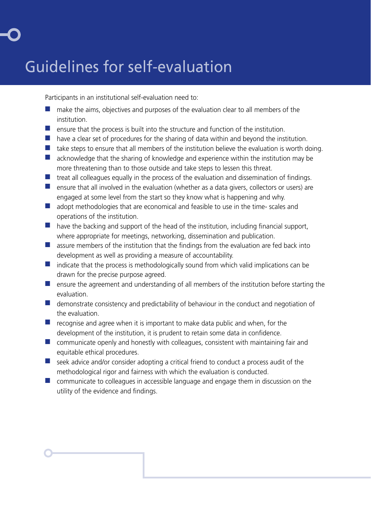## Guidelines for self-evaluation

Participants in an institutional self-evaluation need to:

- $\blacksquare$  make the aims, objectives and purposes of the evaluation clear to all members of the institution.
- $\blacksquare$  ensure that the process is built into the structure and function of the institution.
- $\blacksquare$  have a clear set of procedures for the sharing of data within and beyond the institution.
- $\blacksquare$  take steps to ensure that all members of the institution believe the evaluation is worth doing.
- $\blacksquare$  acknowledge that the sharing of knowledge and experience within the institution may be more threatening than to those outside and take steps to lessen this threat.
- $\blacksquare$  treat all colleagues equally in the process of the evaluation and dissemination of findings.
- **n** ensure that all involved in the evaluation (whether as a data givers, collectors or users) are engaged at some level from the start so they know what is happening and why.
- $\blacksquare$  adopt methodologies that are economical and feasible to use in the time- scales and operations of the institution.
- $\blacksquare$  have the backing and support of the head of the institution, including financial support, where appropriate for meetings, networking, dissemination and publication.
- $\blacksquare$  assure members of the institution that the findings from the evaluation are fed back into development as well as providing a measure of accountability.
- $\blacksquare$  indicate that the process is methodologically sound from which valid implications can be drawn for the precise purpose agreed.
- $\blacksquare$  ensure the agreement and understanding of all members of the institution before starting the evaluation.
- $\blacksquare$  demonstrate consistency and predictability of behaviour in the conduct and negotiation of the evaluation.
- $\blacksquare$  recognise and agree when it is important to make data public and when, for the development of the institution, it is prudent to retain some data in confidence.
- $\blacksquare$  communicate openly and honestly with colleagues, consistent with maintaining fair and equitable ethical procedures.
- $\blacksquare$  seek advice and/or consider adopting a critical friend to conduct a process audit of the methodological rigor and fairness with which the evaluation is conducted.
- $\blacksquare$  communicate to colleagues in accessible language and engage them in discussion on the utility of the evidence and findings.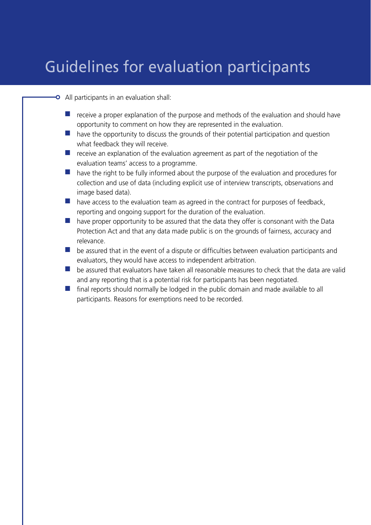### Guidelines for evaluation participants

- All participants in an evaluation shall:
	- $\blacksquare$  receive a proper explanation of the purpose and methods of the evaluation and should have opportunity to comment on how they are represented in the evaluation.
	- $\blacksquare$  have the opportunity to discuss the grounds of their potential participation and question what feedback they will receive.
	- $\blacksquare$  receive an explanation of the evaluation agreement as part of the negotiation of the evaluation teams' access to a programme.
	- $\blacksquare$  have the right to be fully informed about the purpose of the evaluation and procedures for collection and use of data (including explicit use of interview transcripts, observations and image based data).
	- $\blacksquare$  have access to the evaluation team as agreed in the contract for purposes of feedback, reporting and ongoing support for the duration of the evaluation.
	- $\blacksquare$  have proper opportunity to be assured that the data they offer is consonant with the Data Protection Act and that any data made public is on the grounds of fairness, accuracy and relevance.
	- $\blacksquare$  be assured that in the event of a dispute or difficulties between evaluation participants and evaluators, they would have access to independent arbitration.
	- **n** be assured that evaluators have taken all reasonable measures to check that the data are valid and any reporting that is a potential risk for participants has been negotiated.
	- $\blacksquare$  final reports should normally be lodged in the public domain and made available to all participants. Reasons for exemptions need to be recorded.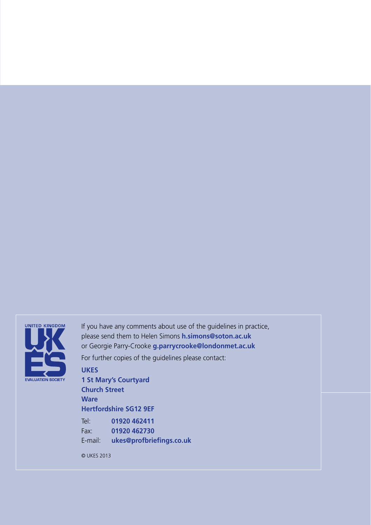

If you have any comments about use of the guidelines in practice, please send them to Helen Simons **h.simons@soton.ac.uk** or Georgie Parry-Crooke **g.parrycrooke@londonmet.ac.uk** For further copies of the guidelines please contact:

**UKES 1 St Mary's Courtyard Church Street Ware Hertfordshire SG12 9EF** Tel: **01920 462411** Fax: **01920 462730** E-mail: **ukes@profbriefings.co.uk**

© UKES 2013